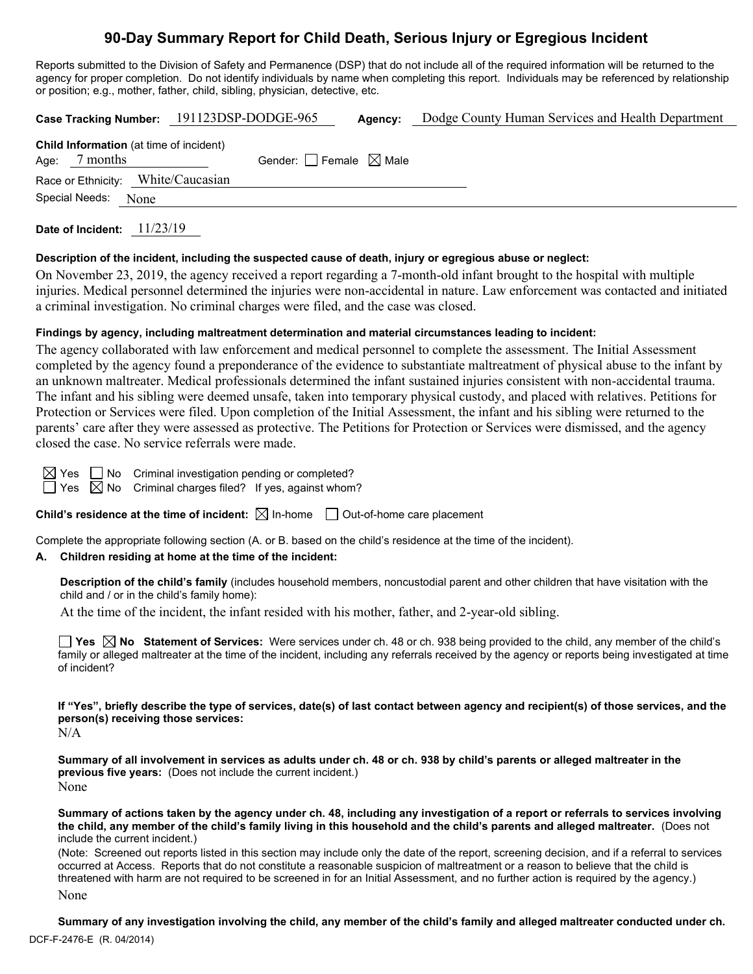# **90-Day Summary Report for Child Death, Serious Injury or Egregious Incident**

Reports submitted to the Division of Safety and Permanence (DSP) that do not include all of the required information will be returned to the agency for proper completion. Do not identify individuals by name when completing this report. Individuals may be referenced by relationship or position; e.g., mother, father, child, sibling, physician, detective, etc.

|                                                             | Case Tracking Number: 191123DSP-DODGE-965 | Agency: | Dodge County Human Services and Health Department |
|-------------------------------------------------------------|-------------------------------------------|---------|---------------------------------------------------|
| Child Information (at time of incident)<br>7 months<br>Age: | Gender: Female $\boxtimes$ Male           |         |                                                   |
| Race or Ethnicity: White/Caucasian                          |                                           |         |                                                   |
| Special Needs:<br>None                                      |                                           |         |                                                   |
|                                                             |                                           |         |                                                   |

**Date of Incident:** 11/23/19

### **Description of the incident, including the suspected cause of death, injury or egregious abuse or neglect:**

On November 23, 2019, the agency received a report regarding a 7-month-old infant brought to the hospital with multiple injuries. Medical personnel determined the injuries were non-accidental in nature. Law enforcement was contacted and initiated a criminal investigation. No criminal charges were filed, and the case was closed.

### **Findings by agency, including maltreatment determination and material circumstances leading to incident:**

The agency collaborated with law enforcement and medical personnel to complete the assessment. The Initial Assessment completed by the agency found a preponderance of the evidence to substantiate maltreatment of physical abuse to the infant by an unknown maltreater. Medical professionals determined the infant sustained injuries consistent with non-accidental trauma. The infant and his sibling were deemed unsafe, taken into temporary physical custody, and placed with relatives. Petitions for Protection or Services were filed. Upon completion of the Initial Assessment, the infant and his sibling were returned to the parents' care after they were assessed as protective. The Petitions for Protection or Services were dismissed, and the agency closed the case. No service referrals were made.

Yes  $\Box$  No Criminal investigation pending or completed? Yes  $\bigotimes$  No  $\,$  Criminal charges filed? If yes, against whom?

**Child's residence at the time of incident:** ⊠ In-home □ Out-of-home care placement

Complete the appropriate following section (A. or B. based on the child's residence at the time of the incident).

# **A. Children residing at home at the time of the incident:**

**Description of the child's family** (includes household members, noncustodial parent and other children that have visitation with the child and / or in the child's family home):

At the time of the incident, the infant resided with his mother, father, and 2-year-old sibling.

**Yes No Statement of Services:** Were services under ch. 48 or ch. 938 being provided to the child, any member of the child's family or alleged maltreater at the time of the incident, including any referrals received by the agency or reports being investigated at time of incident?

**If "Yes", briefly describe the type of services, date(s) of last contact between agency and recipient(s) of those services, and the person(s) receiving those services:**

 $N/A$ 

**Summary of all involvement in services as adults under ch. 48 or ch. 938 by child's parents or alleged maltreater in the previous five years:** (Does not include the current incident.) None

**Summary of actions taken by the agency under ch. 48, including any investigation of a report or referrals to services involving the child, any member of the child's family living in this household and the child's parents and alleged maltreater.** (Does not include the current incident.)

(Note: Screened out reports listed in this section may include only the date of the report, screening decision, and if a referral to services occurred at Access. Reports that do not constitute a reasonable suspicion of maltreatment or a reason to believe that the child is threatened with harm are not required to be screened in for an Initial Assessment, and no further action is required by the agency.)

None

DCF-F-2476-E (R. 04/2014) **Summary of any investigation involving the child, any member of the child's family and alleged maltreater conducted under ch.**